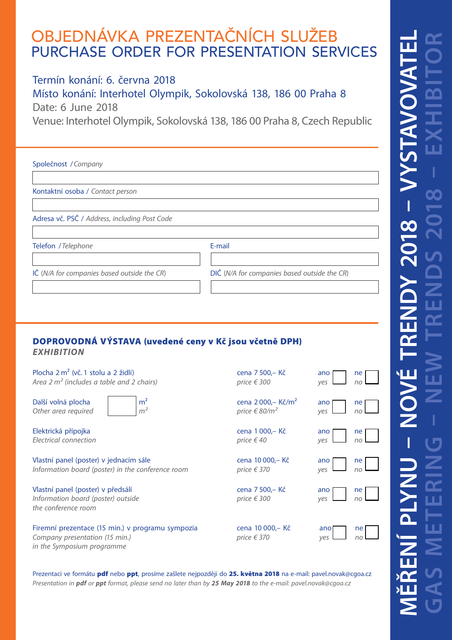# OBJEDNÁVKA PREZENTAČNÍCH SLUŽEB PURCHASE ORDER FOR PRESENTATION SERVICES

## Termín konání: 6. června 2018

Místo konání: Interhotel Olympik, Sokolovská 138, 186 00 Praha 8 Date: 6 June 2018

Venue: Interhotel Olympik, Sokolovská 138, 186 00 Praha 8, Czech Republic

| Společnost / Company                          |                                              |
|-----------------------------------------------|----------------------------------------------|
|                                               |                                              |
| Kontaktní osoba / Contact person              |                                              |
|                                               |                                              |
| Adresa vč. PSČ / Address, including Post Code |                                              |
|                                               |                                              |
| Telefon / Telephone                           | E-mail                                       |
|                                               |                                              |
| IČ (N/A for companies based outside the CR)   | DIČ (N/A for companies based outside the CR) |
|                                               |                                              |
|                                               |                                              |
|                                               |                                              |

### DOPROVODNÁ VÝSTAVA (uvedené ceny v Kč jsou včetně DPH) *EXHIBITION*

Plocha 2 m<sup>2</sup> (vč. 1 stolu a 2 židlí) *Area 2 m<sup>2</sup> (includes a table and 2 chairs)* 

Další volná plocha  $\vert m^2 \vert$ *Other area required*  $|m^2$ 



Elektrická přípojka  $F$ *<i>Electrical connection* 

Vlastní panel (poster) v jednacím sále *Information board (poster) in the conference room* 

Vlastní panel (poster) v předsálí *Information board (poster) outside the conference room*

Firemní prezentace (15 min.) v programu sympozia *Company presentation (15 min.) in the Symposium programme*

| cena 7 500,– Kč<br>price € 300                                   | ano<br>$ne$ <sub>no</sub><br>yes |
|------------------------------------------------------------------|----------------------------------|
| cena 2 000, – Kč/m <sup>2</sup><br>price $\in$ 80/m <sup>2</sup> | ano<br>ne<br>no<br>yes           |
| cena 1 000,- Kč<br>price €40                                     | ano<br>$ne$ <sub>no</sub><br>ves |
| cena 10 000,- Kč<br>price € 370                                  | ne<br>ano<br>ves<br>no           |
| cena 7 500,- Kč<br>price € 300                                   | ano<br>ne<br>no<br>ves           |
| cena 10 000,- Kč<br>price € 370                                  | ne<br>ano                        |

#### Prezentaci ve formátu **pdf** nebo **ppt**, prosíme zašlete nejpozději do 25. května 2018 na e-mail: pavel.novak@cgoa.cz *Presentation in pdf or ppt format, please send no later than by 25 May 2018 to the e-mail: pavel.novak@cgoa.cz*